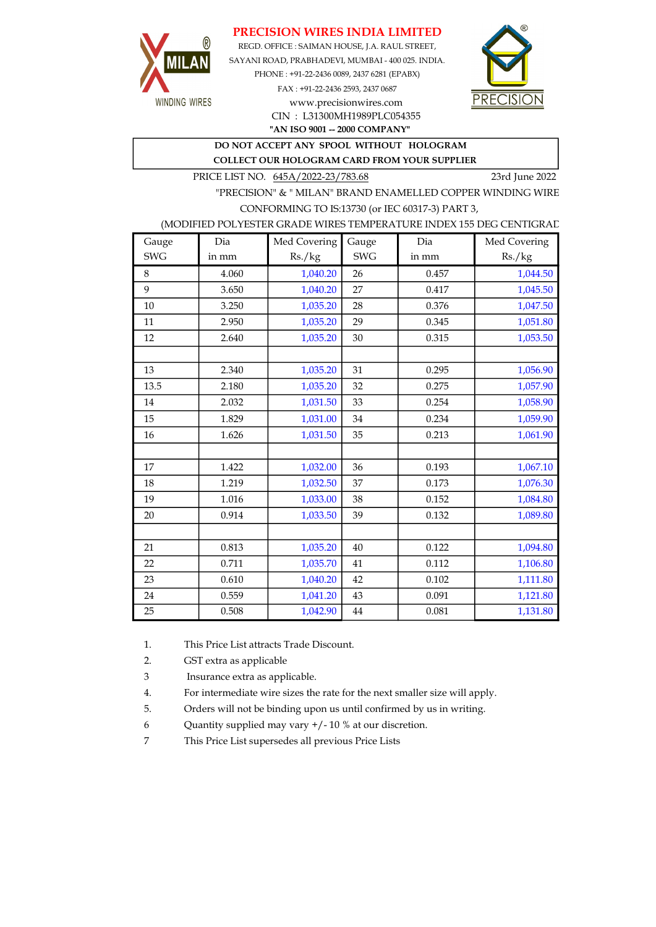## PRECISION WIRES INDIA LIMITED



REGD. OFFICE : SAIMAN HOUSE, J.A. RAUL STREET, SAYANI ROAD, PRABHADEVI, MUMBAI - 400 025. INDIA. PHONE : +91-22-2436 0089, 2437 6281 (EPABX) FAX : +91-22-2436 2593, 2437 0687 www.precisionwires.com



"AN ISO 9001 -- 2000 COMPANY" CIN : L31300MH1989PLC054355

DO NOT ACCEPT ANY SPOOL WITHOUT HOLOGRAM

COLLECT OUR HOLOGRAM CARD FROM YOUR SUPPLIER

PRICE LIST NO. 645A/2022-23/783.68 23rd June 2022

"PRECISION" & " MILAN" BRAND ENAMELLED COPPER WINDING WIRE CONFORMING TO IS:13730 (or IEC 60317-3) PART 3,

### (MODIFIED POLYESTER GRADE WIRES TEMPERATURE INDEX 155 DEG CENTIGRAD

| Gauge      | Dia   | Med Covering | Gauge      | Dia   | Med Covering |
|------------|-------|--------------|------------|-------|--------------|
| <b>SWG</b> | in mm | Rs./kg       | <b>SWG</b> | in mm | Rs./kg       |
| 8          | 4.060 | 1,040.20     | 26         | 0.457 | 1,044.50     |
| 9          | 3.650 | 1,040.20     | 27         | 0.417 | 1,045.50     |
| 10         | 3.250 | 1,035.20     | 28         | 0.376 | 1,047.50     |
| 11         | 2.950 | 1,035.20     | 29         | 0.345 | 1,051.80     |
| 12         | 2.640 | 1,035.20     | 30         | 0.315 | 1,053.50     |
|            |       |              |            |       |              |
| 13         | 2.340 | 1,035.20     | 31         | 0.295 | 1,056.90     |
| 13.5       | 2.180 | 1,035.20     | 32         | 0.275 | 1,057.90     |
| 14         | 2.032 | 1,031.50     | 33         | 0.254 | 1,058.90     |
| 15         | 1.829 | 1,031.00     | 34         | 0.234 | 1,059.90     |
| 16         | 1.626 | 1,031.50     | 35         | 0.213 | 1,061.90     |
|            |       |              |            |       |              |
| 17         | 1.422 | 1,032.00     | 36         | 0.193 | 1,067.10     |
| 18         | 1.219 | 1,032.50     | 37         | 0.173 | 1,076.30     |
| 19         | 1.016 | 1,033.00     | 38         | 0.152 | 1,084.80     |
| 20         | 0.914 | 1,033.50     | 39         | 0.132 | 1,089.80     |
|            |       |              |            |       |              |
| 21         | 0.813 | 1,035.20     | 40         | 0.122 | 1,094.80     |
| 22         | 0.711 | 1,035.70     | 41         | 0.112 | 1,106.80     |
| 23         | 0.610 | 1,040.20     | 42         | 0.102 | 1,111.80     |
| 24         | 0.559 | 1,041.20     | 43         | 0.091 | 1,121.80     |
| 25         | 0.508 | 1,042.90     | 44         | 0.081 | 1,131.80     |

1. This Price List attracts Trade Discount.

2. GST extra as applicable

3 Insurance extra as applicable.

4. For intermediate wire sizes the rate for the next smaller size will apply.

5. Orders will not be binding upon us until confirmed by us in writing.

6 Quantity supplied may vary +/- 10 % at our discretion.

7 This Price List supersedes all previous Price Lists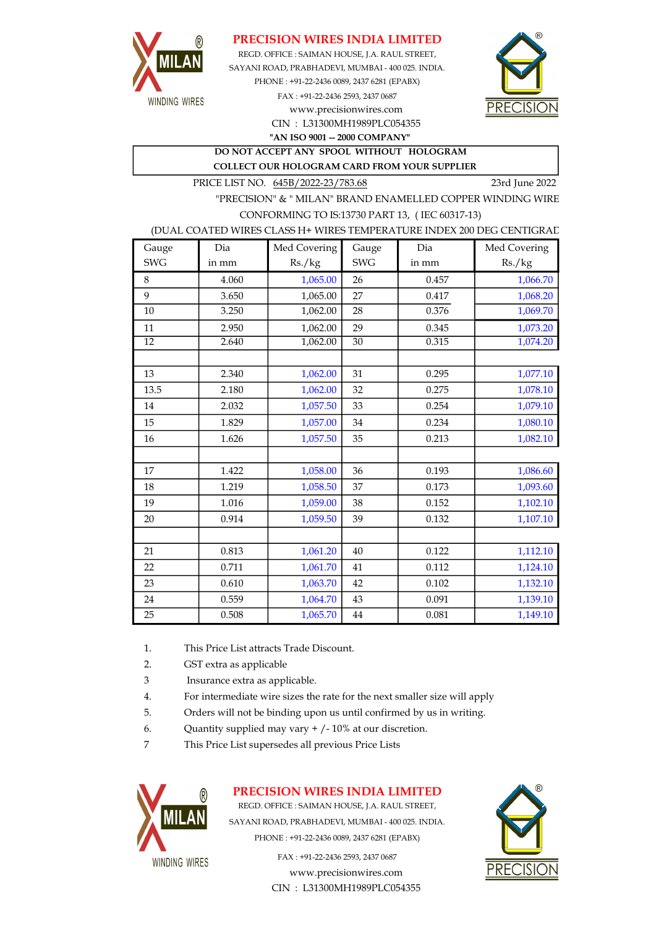

## PRECISION WIRES INDIA LIMITED

REGD. OFFICE : SAIMAN HOUSE, J.A. RAUL STREET, CIN : L31300MH1989PLC054355 SAYANI ROAD, PRABHADEVI, MUMBAI - 400 025. INDIA. PHONE : +91-22-2436 0089, 2437 6281 (EPABX) FAX : +91-22-2436 2593, 2437 0687 www.precisionwires.com



"AN ISO 9001 -- 2000 COMPANY"

DO NOT ACCEPT ANY SPOOL WITHOUT HOLOGRAM COLLECT OUR HOLOGRAM CARD FROM YOUR SUPPLIER

PRICE LIST NO. 645B/2022-23/783.68 23rd June 2022

"PRECISION" & " MILAN" BRAND ENAMELLED COPPER WINDING WIRE CONFORMING TO IS:13730 PART 13, ( IEC 60317-13)

#### (DUAL COATED WIRES CLASS H+ WIRES TEMPERATURE INDEX 200 DEG CENTIGRAD

| Gauge           | Dia   | Med Covering | Gauge      | Dia   | Med Covering |
|-----------------|-------|--------------|------------|-------|--------------|
| <b>SWG</b>      | in mm | Rs./kg       | <b>SWG</b> | in mm | Rs./kg       |
| 8               | 4.060 | 1,065.00     | 26         | 0.457 | 1,066.70     |
| 9               | 3.650 | 1,065.00     | 27         | 0.417 | 1,068.20     |
| 10              | 3.250 | 1,062.00     | 28         | 0.376 | 1,069.70     |
| 11              | 2.950 | 1,062.00     | 29         | 0.345 | 1,073.20     |
| $\overline{12}$ | 2.640 | 1,062.00     | 30         | 0.315 | 1,074.20     |
|                 |       |              |            |       |              |
| 13              | 2.340 | 1,062.00     | 31         | 0.295 | 1,077.10     |
| 13.5            | 2.180 | 1,062.00     | 32         | 0.275 | 1,078.10     |
| 14              | 2.032 | 1,057.50     | 33         | 0.254 | 1,079.10     |
| 15              | 1.829 | 1,057.00     | 34         | 0.234 | 1,080.10     |
| 16              | 1.626 | 1,057.50     | 35         | 0.213 | 1,082.10     |
|                 |       |              |            |       |              |
| 17              | 1.422 | 1,058.00     | 36         | 0.193 | 1,086.60     |
| 18              | 1.219 | 1,058.50     | 37         | 0.173 | 1,093.60     |
| 19              | 1.016 | 1,059.00     | 38         | 0.152 | 1,102.10     |
| 20              | 0.914 | 1,059.50     | 39         | 0.132 | 1,107.10     |
|                 |       |              |            |       |              |
| 21              | 0.813 | 1,061.20     | 40         | 0.122 | 1,112.10     |
| 22              | 0.711 | 1,061.70     | 41         | 0.112 | 1,124.10     |
| 23              | 0.610 | 1,063.70     | 42         | 0.102 | 1,132.10     |
| 24              | 0.559 | 1,064.70     | 43         | 0.091 | 1,139.10     |
| 25              | 0.508 | 1,065.70     | 44         | 0.081 | 1,149.10     |

- 1. This Price List attracts Trade Discount.
- 2. GST extra as applicable
- 3 Insurance extra as applicable.
- 4. For intermediate wire sizes the rate for the next smaller size will apply
- 5. Orders will not be binding upon us until confirmed by us in writing.
- 6. Quantity supplied may vary  $+/-10\%$  at our discretion.
- 7 This Price List supersedes all previous Price Lists



## PRECISION WIRES INDIA LIMITED

REGD. OFFICE : SAIMAN HOUSE, J.A. RAUL STREET, SAYANI ROAD, PRABHADEVI, MUMBAI - 400 025. INDIA. PHONE : +91-22-2436 0089, 2437 6281 (EPABX)

> www.precisionwires.com CIN : L31300MH1989PLC054355 FAX : +91-22-2436 2593, 2437 0687